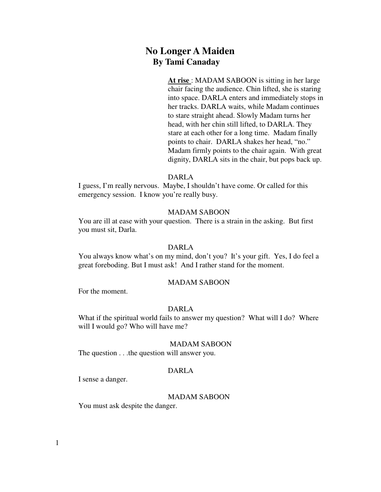# **No Longer A Maiden By Tami Canaday**

**At rise** : MADAM SABOON is sitting in her large chair facing the audience. Chin lifted, she is staring into space. DARLA enters and immediately stops in her tracks. DARLA waits, while Madam continues to stare straight ahead. Slowly Madam turns her head, with her chin still lifted, to DARLA. They stare at each other for a long time. Madam finally points to chair. DARLA shakes her head, "no." Madam firmly points to the chair again. With great dignity, DARLA sits in the chair, but pops back up.

### DARLA

I guess, I'm really nervous. Maybe, I shouldn't have come. Or called for this emergency session. I know you're really busy.

# MADAM SABOON

 You are ill at ease with your question. There is a strain in the asking. But first you must sit, Darla.

#### DARLA

You always know what's on my mind, don't you? It's your gift. Yes, I do feel a great foreboding. But I must ask! And I rather stand for the moment.

### MADAM SABOON

For the moment.

## DARLA

What if the spiritual world fails to answer my question? What will I do? Where will I would go? Who will have me?

#### MADAM SABOON

The question . . .the question will answer you.

# DARLA

I sense a danger.

# MADAM SABOON

You must ask despite the danger.